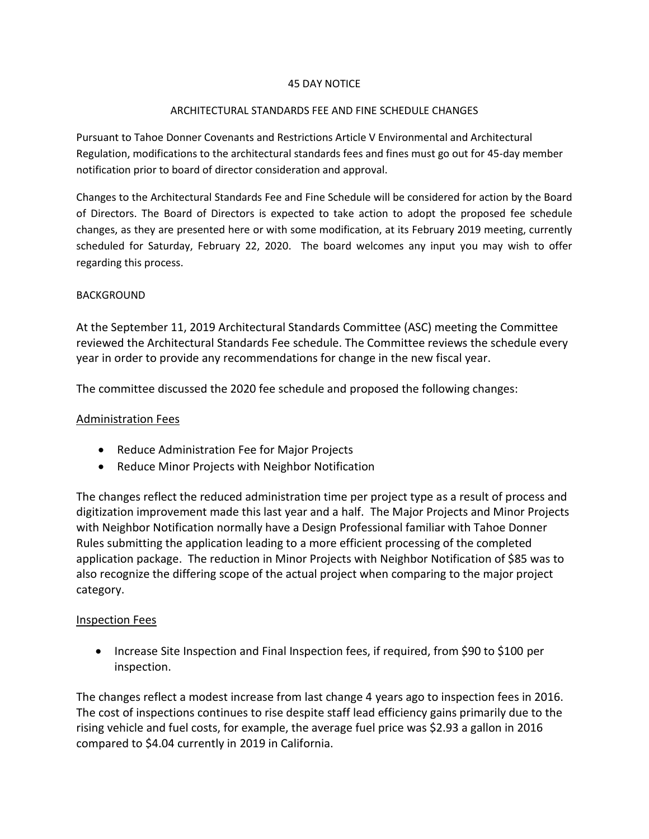### 45 DAY NOTICE

### ARCHITECTURAL STANDARDS FEE AND FINE SCHEDULE CHANGES

Pursuant to Tahoe Donner Covenants and Restrictions Article V Environmental and Architectural Regulation, modifications to the architectural standards fees and fines must go out for 45-day member notification prior to board of director consideration and approval.

Changes to the Architectural Standards Fee and Fine Schedule will be considered for action by the Board of Directors. The Board of Directors is expected to take action to adopt the proposed fee schedule changes, as they are presented here or with some modification, at its February 2019 meeting, currently scheduled for Saturday, February 22, 2020. The board welcomes any input you may wish to offer regarding this process.

### BACKGROUND

At the September 11, 2019 Architectural Standards Committee (ASC) meeting the Committee reviewed the Architectural Standards Fee schedule. The Committee reviews the schedule every year in order to provide any recommendations for change in the new fiscal year.

The committee discussed the 2020 fee schedule and proposed the following changes:

## Administration Fees

- Reduce Administration Fee for Major Projects
- Reduce Minor Projects with Neighbor Notification

The changes reflect the reduced administration time per project type as a result of process and digitization improvement made this last year and a half. The Major Projects and Minor Projects with Neighbor Notification normally have a Design Professional familiar with Tahoe Donner Rules submitting the application leading to a more efficient processing of the completed application package. The reduction in Minor Projects with Neighbor Notification of \$85 was to also recognize the differing scope of the actual project when comparing to the major project category.

#### Inspection Fees

• Increase Site Inspection and Final Inspection fees, if required, from \$90 to \$100 per inspection.

The changes reflect a modest increase from last change 4 years ago to inspection fees in 2016. The cost of inspections continues to rise despite staff lead efficiency gains primarily due to the rising vehicle and fuel costs, for example, the average fuel price was \$2.93 a gallon in 2016 compared to \$4.04 currently in 2019 in California.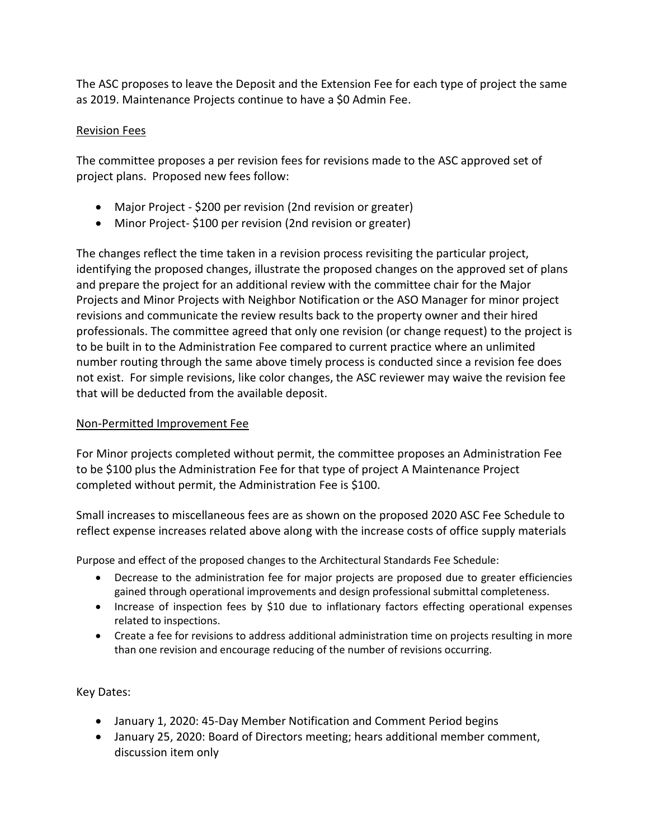The ASC proposes to leave the Deposit and the Extension Fee for each type of project the same as 2019. Maintenance Projects continue to have a \$0 Admin Fee.

# Revision Fees

The committee proposes a per revision fees for revisions made to the ASC approved set of project plans. Proposed new fees follow:

- Major Project \$200 per revision (2nd revision or greater)
- Minor Project- \$100 per revision (2nd revision or greater)

The changes reflect the time taken in a revision process revisiting the particular project, identifying the proposed changes, illustrate the proposed changes on the approved set of plans and prepare the project for an additional review with the committee chair for the Major Projects and Minor Projects with Neighbor Notification or the ASO Manager for minor project revisions and communicate the review results back to the property owner and their hired professionals. The committee agreed that only one revision (or change request) to the project is to be built in to the Administration Fee compared to current practice where an unlimited number routing through the same above timely process is conducted since a revision fee does not exist. For simple revisions, like color changes, the ASC reviewer may waive the revision fee that will be deducted from the available deposit.

# Non-Permitted Improvement Fee

For Minor projects completed without permit, the committee proposes an Administration Fee to be \$100 plus the Administration Fee for that type of project A Maintenance Project completed without permit, the Administration Fee is \$100.

Small increases to miscellaneous fees are as shown on the proposed 2020 ASC Fee Schedule to reflect expense increases related above along with the increase costs of office supply materials

Purpose and effect of the proposed changes to the Architectural Standards Fee Schedule:

- Decrease to the administration fee for major projects are proposed due to greater efficiencies gained through operational improvements and design professional submittal completeness.
- Increase of inspection fees by \$10 due to inflationary factors effecting operational expenses related to inspections.
- Create a fee for revisions to address additional administration time on projects resulting in more than one revision and encourage reducing of the number of revisions occurring.

# Key Dates:

- January 1, 2020: 45-Day Member Notification and Comment Period begins
- January 25, 2020: Board of Directors meeting; hears additional member comment, discussion item only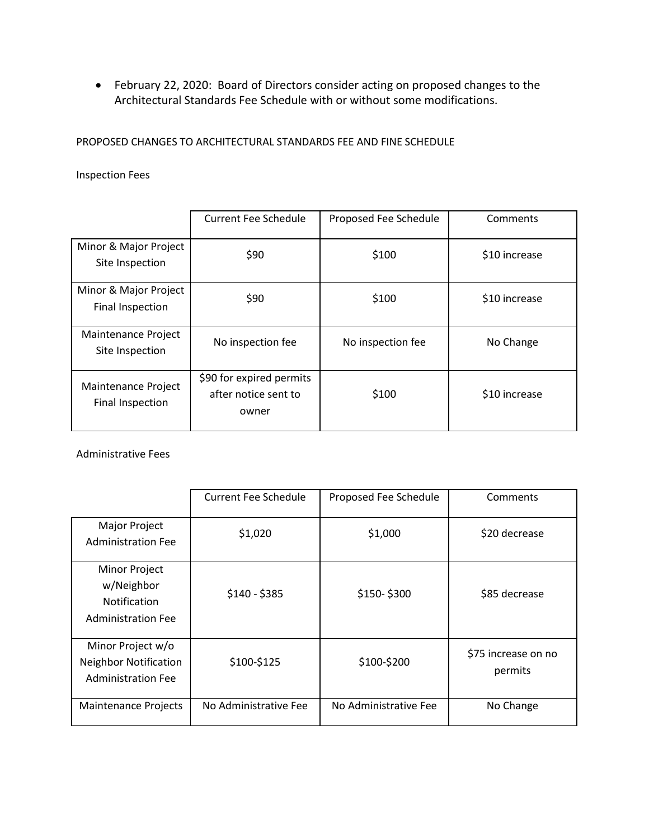• February 22, 2020: Board of Directors consider acting on proposed changes to the Architectural Standards Fee Schedule with or without some modifications.

PROPOSED CHANGES TO ARCHITECTURAL STANDARDS FEE AND FINE SCHEDULE

Inspection Fees

|                                           | <b>Current Fee Schedule</b>                               | Proposed Fee Schedule | Comments      |
|-------------------------------------------|-----------------------------------------------------------|-----------------------|---------------|
| Minor & Major Project<br>Site Inspection  | \$90                                                      | \$100                 | \$10 increase |
| Minor & Major Project<br>Final Inspection | \$90                                                      | \$100                 | \$10 increase |
| Maintenance Project<br>Site Inspection    | No inspection fee                                         | No inspection fee     | No Change     |
| Maintenance Project<br>Final Inspection   | \$90 for expired permits<br>after notice sent to<br>owner | \$100                 | \$10 increase |

Administrative Fees

|                                                                                        | <b>Current Fee Schedule</b> | Proposed Fee Schedule | Comments                       |
|----------------------------------------------------------------------------------------|-----------------------------|-----------------------|--------------------------------|
| Major Project<br><b>Administration Fee</b>                                             | \$1,020                     | \$1,000               | \$20 decrease                  |
| <b>Minor Project</b><br>w/Neighbor<br><b>Notification</b><br><b>Administration Fee</b> | $$140 - $385$               | \$150-\$300           | \$85 decrease                  |
| Minor Project w/o<br><b>Neighbor Notification</b><br><b>Administration Fee</b>         | \$100-\$125                 | \$100-\$200           | \$75 increase on no<br>permits |
| <b>Maintenance Projects</b>                                                            | No Administrative Fee       | No Administrative Fee | No Change                      |